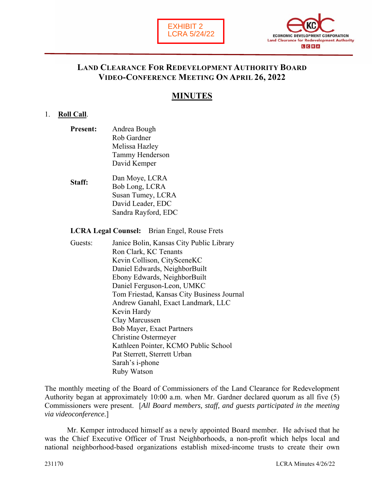



### **LAND CLEARANCE FOR REDEVELOPMENT AUTHORITY BOARD VIDEO-CONFERENCE MEETING ON APRIL 26, 2022**

# **MINUTES**

#### 1. **Roll Call**.

- **Present:** Andrea Bough Rob Gardner Melissa Hazley Tammy Henderson David Kemper
- **Staff:** Dan Moye, LCRA Bob Long, LCRA Susan Tumey, LCRA David Leader, EDC Sandra Rayford, EDC

**LCRA Legal Counsel:** Brian Engel, Rouse Frets

Guests: Janice Bolin, Kansas City Public Library Ron Clark, KC Tenants Kevin Collison, CitySceneKC Daniel Edwards, NeighborBuilt Ebony Edwards, NeighborBuilt Daniel Ferguson-Leon, UMKC Tom Friestad, Kansas City Business Journal Andrew Ganahl, Exact Landmark, LLC Kevin Hardy Clay Marcussen Bob Mayer, Exact Partners Christine Ostermeyer Kathleen Pointer, KCMO Public School Pat Sterrett, Sterrett Urban Sarah's i-phone Ruby Watson

The monthly meeting of the Board of Commissioners of the Land Clearance for Redevelopment Authority began at approximately 10:00 a.m. when Mr. Gardner declared quorum as all five (5) Commissioners were present. [*All Board members, staff, and guests participated in the meeting via videoconference.*]

Mr. Kemper introduced himself as a newly appointed Board member. He advised that he was the Chief Executive Officer of Trust Neighborhoods, a non-profit which helps local and national neighborhood-based organizations establish mixed-income trusts to create their own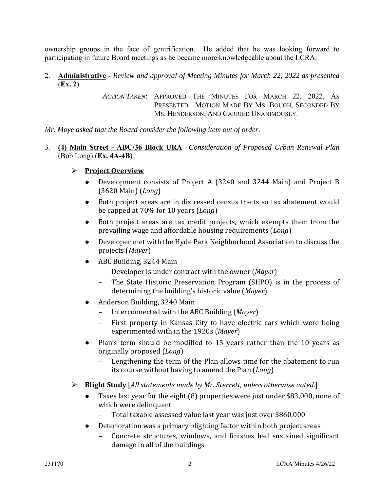ownership groups in the face of gentrification. He added that he was looking forward to participating in future Board meetings as he became more knowledgeable about the LCRA.

2. **Administrative** - *Review and approval of Meeting Minutes for March 22, 2022 as presented* (**Ex. 2)**

> *ACTION TAKEN*: APPROVED THE MINUTES FOR MARCH 22, 2022, AS PRESENTED. MOTION MADE BY MS. BOUGH, SECONDED BY MS. HENDERSON, AND CARRIED UNANIMOUSLY.

*Mr. Moye asked that the Board consider the following item out of order*.

3. **(4) Main Street - ABC/36 Block URA** –*Consideration of Proposed Urban Renewal Plan* (Bob Long) (**Ex. 4A-4B**)

#### **Project Overview**

- Development consists of Project A (3240 and 3244 Main) and Project B (3620 Main) (*Long*)
- Both project areas are in distressed census tracts so tax abatement would be capped at 70% for 10 years (*Long*)
- Both project areas are tax credit projects, which exempts them from the prevailing wage and affordable housing requirements (*Long*)
- Developer met with the Hyde Park Neighborhood Association to discuss the projects (*Mayer*)
- ABC Building, 3244 Main
	- Developer is under contract with the owner (*Mayer*)
	- The State Historic Preservation Program (SHPO) is in the process of determining the building's historic value (*Mayer*)
- Anderson Building, 3240 Main
	- Interconnected with the ABC Building (*Mayer*)
	- First property in Kansas City to have electric cars which were being experimented with in the 1920s (*Mayer*)
- Plan's term should be modified to 15 years rather than the 10 years as originally proposed (*Long*)
	- Lengthening the term of the Plan allows time for the abatement to run its course without having to amend the Plan (*Long*)
- **Blight Study** [*All statements made by Mr. Sterrett, unless otherwise noted.*]
	- Taxes last year for the eight (8) properties were just under \$83,000, none of which were delinquent
		- Total taxable assessed value last year was just over \$860,000
	- Deterioration was a primary blighting factor within both project areas
		- Concrete structures, windows, and finishes had sustained significant damage in all of the buildings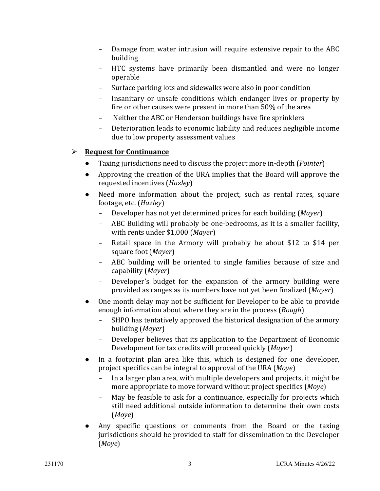- Damage from water intrusion will require extensive repair to the ABC building
- HTC systems have primarily been dismantled and were no longer operable
- Surface parking lots and sidewalks were also in poor condition
- Insanitary or unsafe conditions which endanger lives or property by fire or other causes were present in more than 50% of the area
- Neither the ABC or Henderson buildings have fire sprinklers
- Deterioration leads to economic liability and reduces negligible income due to low property assessment values

## **Request for Continuance**

- Taxing jurisdictions need to discuss the project more in-depth (*Pointer*)
- Approving the creation of the URA implies that the Board will approve the requested incentives (*Hazley*)
- Need more information about the project, such as rental rates, square footage, etc. (*Hazley*)
	- Developer has not yet determined prices for each building (*Mayer*)
	- ABC Building will probably be one-bedrooms, as it is a smaller facility, with rents under \$1,000 (*Mayer*)
	- Retail space in the Armory will probably be about \$12 to \$14 per square foot (*Mayer*)
	- ABC building will be oriented to single families because of size and capability (*Mayer*)
	- Developer's budget for the expansion of the armory building were provided as ranges as its numbers have not yet been finalized (*Mayer*)
- One month delay may not be sufficient for Developer to be able to provide enough information about where they are in the process (*Bough*)
	- SHPO has tentatively approved the historical designation of the armory building (*Mayer*)
	- Developer believes that its application to the Department of Economic Development for tax credits will proceed quickly (*Mayer*)
- In a footprint plan area like this, which is designed for one developer, project specifics can be integral to approval of the URA (*Moye*)
	- In a larger plan area, with multiple developers and projects, it might be more appropriate to move forward without project specifics (*Moye*)
	- May be feasible to ask for a continuance, especially for projects which still need additional outside information to determine their own costs (*Moye*)
- Any specific questions or comments from the Board or the taxing jurisdictions should be provided to staff for dissemination to the Developer (*Moye*)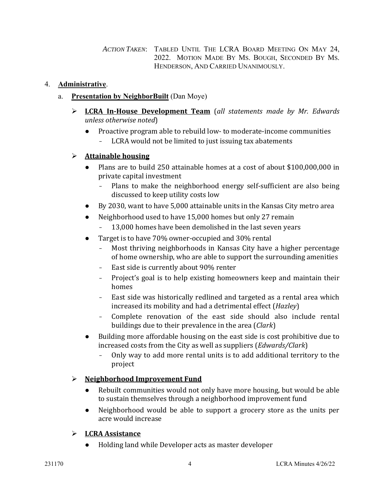*ACTION TAKEN*: TABLED UNTIL THE LCRA BOARD MEETING ON MAY 24, 2022. MOTION MADE BY MS. BOUGH, SECONDED BY MS. HENDERSON, AND CARRIED UNANIMOUSLY.

### 4. **Administrative**.

- a. **Presentation by NeighborBuilt** (Dan Moye)
	- **LCRA In-House Development Team** (*all statements made by Mr. Edwards unless otherwise noted*)
		- Proactive program able to rebuild low- to moderate-income communities
			- LCRA would not be limited to just issuing tax abatements

## **Attainable housing**

- Plans are to build 250 attainable homes at a cost of about \$100,000,000 in private capital investment
	- Plans to make the neighborhood energy self-sufficient are also being discussed to keep utility costs low
- By 2030, want to have 5,000 attainable units in the Kansas City metro area
- Neighborhood used to have 15,000 homes but only 27 remain
	- 13,000 homes have been demolished in the last seven years
- Target is to have 70% owner-occupied and 30% rental
	- Most thriving neighborhoods in Kansas City have a higher percentage of home ownership, who are able to support the surrounding amenities
	- East side is currently about 90% renter
	- Project's goal is to help existing homeowners keep and maintain their homes
	- East side was historically redlined and targeted as a rental area which increased its mobility and had a detrimental effect (*Hazley*)
	- Complete renovation of the east side should also include rental buildings due to their prevalence in the area (*Clark*)
- Building more affordable housing on the east side is cost prohibitive due to increased costs from the City as well as suppliers (*Edwards/Clark*)
	- Only way to add more rental units is to add additional territory to the project

## **Neighborhood Improvement Fund**

- Rebuilt communities would not only have more housing, but would be able to sustain themselves through a neighborhood improvement fund
- Neighborhood would be able to support a grocery store as the units per acre would increase

## **LCRA Assistance**

● Holding land while Developer acts as master developer